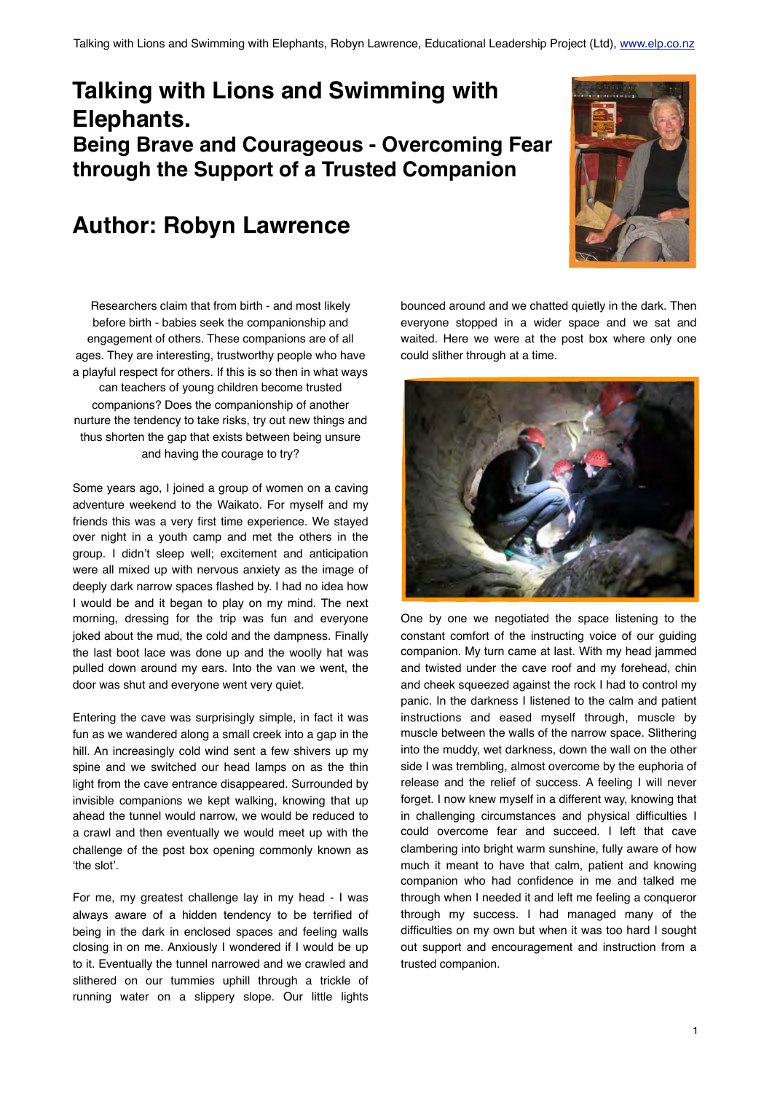# **Talking with Lions and Swimming with Elephants. Being Brave and Courageous - Overcoming Fear through the Support of a Trusted Companion**

# **Author: Robyn Lawrence**



Researchers claim that from birth - and most likely before birth - babies seek the companionship and engagement of others. These companions are of all ages. They are interesting, trustworthy people who have a playful respect for others. If this is so then in what ways can teachers of young children become trusted companions? Does the companionship of another nurture the tendency to take risks, try out new things and thus shorten the gap that exists between being unsure and having the courage to try?

Some years ago, I joined a group of women on a caving adventure weekend to the Waikato. For myself and my friends this was a very first time experience. We stayed over night in a youth camp and met the others in the group. I didn't sleep well; excitement and anticipation were all mixed up with nervous anxiety as the image of deeply dark narrow spaces flashed by. I had no idea how I would be and it began to play on my mind. The next morning, dressing for the trip was fun and everyone joked about the mud, the cold and the dampness. Finally the last boot lace was done up and the woolly hat was pulled down around my ears. Into the van we went, the door was shut and everyone went very quiet.

Entering the cave was surprisingly simple, in fact it was fun as we wandered along a small creek into a gap in the hill. An increasingly cold wind sent a few shivers up my spine and we switched our head lamps on as the thin light from the cave entrance disappeared. Surrounded by invisible companions we kept walking, knowing that up ahead the tunnel would narrow, we would be reduced to a crawl and then eventually we would meet up with the challenge of the post box opening commonly known as 'the slot'.

For me, my greatest challenge lay in my head - I was always aware of a hidden tendency to be terrified of being in the dark in enclosed spaces and feeling walls closing in on me. Anxiously I wondered if I would be up to it. Eventually the tunnel narrowed and we crawled and slithered on our tummies uphill through a trickle of running water on a slippery slope. Our little lights

bounced around and we chatted quietly in the dark. Then everyone stopped in a wider space and we sat and waited. Here we were at the post box where only one could slither through at a time.



One by one we negotiated the space listening to the constant comfort of the instructing voice of our guiding companion. My turn came at last. With my head jammed and twisted under the cave roof and my forehead, chin and cheek squeezed against the rock I had to control my panic. In the darkness I listened to the calm and patient instructions and eased myself through, muscle by muscle between the walls of the narrow space. Slithering into the muddy, wet darkness, down the wall on the other side I was trembling, almost overcome by the euphoria of release and the relief of success. A feeling I will never forget. I now knew myself in a different way, knowing that in challenging circumstances and physical difficulties I could overcome fear and succeed. I left that cave clambering into bright warm sunshine, fully aware of how much it meant to have that calm, patient and knowing companion who had confidence in me and talked me through when I needed it and left me feeling a conqueror through my success. I had managed many of the difficulties on my own but when it was too hard I sought out support and encouragement and instruction from a trusted companion.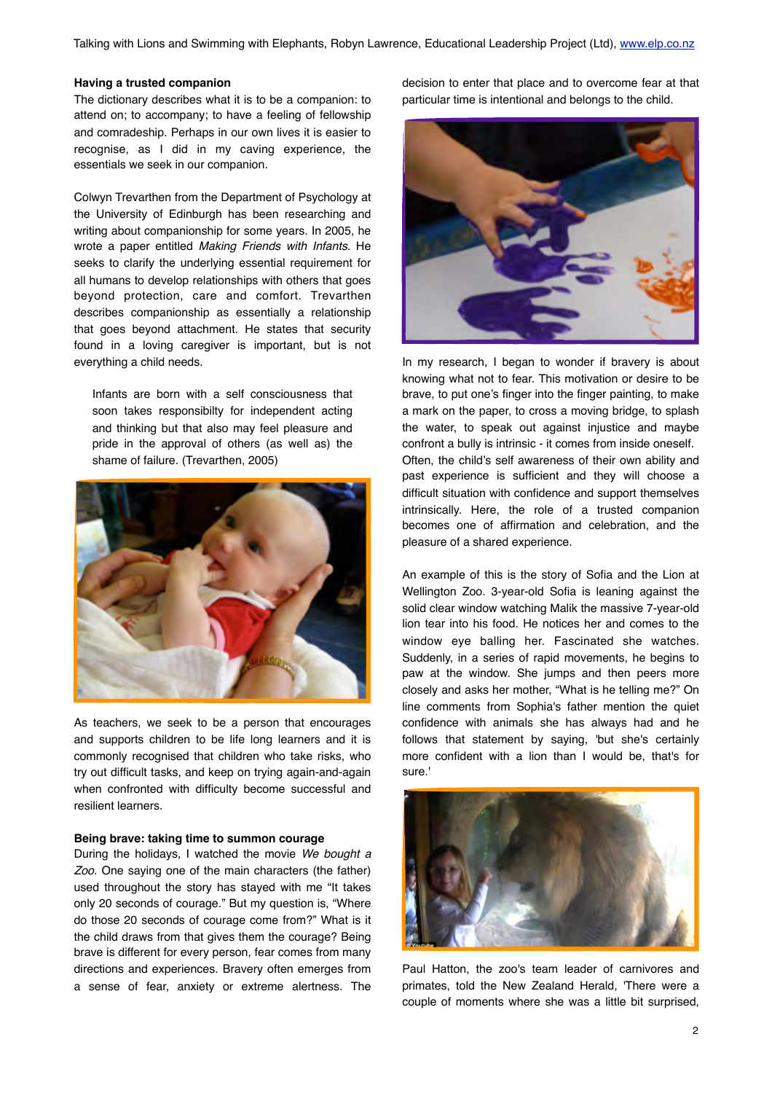Talking with Lions and Swimming with Elephants, Robyn Lawrence, Educational Leadership Project (Ltd), [www.elp.co.nz](http://www.elp.co.nz)

#### **Having a trusted companion**

The dictionary describes what it is to be a companion: to attend on; to accompany; to have a feeling of fellowship and comradeship. Perhaps in our own lives it is easier to recognise, as I did in my caving experience, the essentials we seek in our companion.

Colwyn Trevarthen from the Department of Psychology at the University of Edinburgh has been researching and writing about companionship for some years. In 2005, he wrote a paper entitled *Making Friends with Infants*. He seeks to clarify the underlying essential requirement for all humans to develop relationships with others that goes beyond protection, care and comfort. Trevarthen describes companionship as essentially a relationship that goes beyond attachment. He states that security found in a loving caregiver is important, but is not everything a child needs.

Infants are born with a self consciousness that soon takes responsibilty for independent acting and thinking but that also may feel pleasure and pride in the approval of others (as well as) the shame of failure. (Trevarthen, 2005)



As teachers, we seek to be a person that encourages and supports children to be life long learners and it is commonly recognised that children who take risks, who try out difficult tasks, and keep on trying again-and-again when confronted with difficulty become successful and resilient learners.

#### **Being brave: taking time to summon courage**

During the holidays, I watched the movie *We bought a Zoo*. One saying one of the main characters (the father) used throughout the story has stayed with me "It takes only 20 seconds of courage." But my question is, "Where do those 20 seconds of courage come from?" What is it the child draws from that gives them the courage? Being brave is different for every person, fear comes from many directions and experiences. Bravery often emerges from a sense of fear, anxiety or extreme alertness. The

decision to enter that place and to overcome fear at that particular time is intentional and belongs to the child.



In my research, I began to wonder if bravery is about knowing what not to fear. This motivation or desire to be brave, to put one's finger into the finger painting, to make a mark on the paper, to cross a moving bridge, to splash the water, to speak out against injustice and maybe confront a bully is intrinsic - it comes from inside oneself. Often, the child's self awareness of their own ability and past experience is sufficient and they will choose a difficult situation with confidence and support themselves intrinsically. Here, the role of a trusted companion becomes one of affirmation and celebration, and the pleasure of a shared experience.

An example of this is the story of Sofia and the Lion at Wellington Zoo. 3-year-old Sofia is leaning against the solid clear window watching Malik the massive 7-year-old lion tear into his food. He notices her and comes to the window eye balling her. Fascinated she watches. Suddenly, in a series of rapid movements, he begins to paw at the window. She jumps and then peers more closely and asks her mother, "What is he telling me?" On line comments from Sophia's father mention the quiet confidence with animals she has always had and he follows that statement by saying, 'but she's certainly more confident with a lion than I would be, that's for sure.'



Paul Hatton, the zoo's team leader of carnivores and primates, told the New Zealand Herald, 'There were a couple of moments where she was a little bit surprised,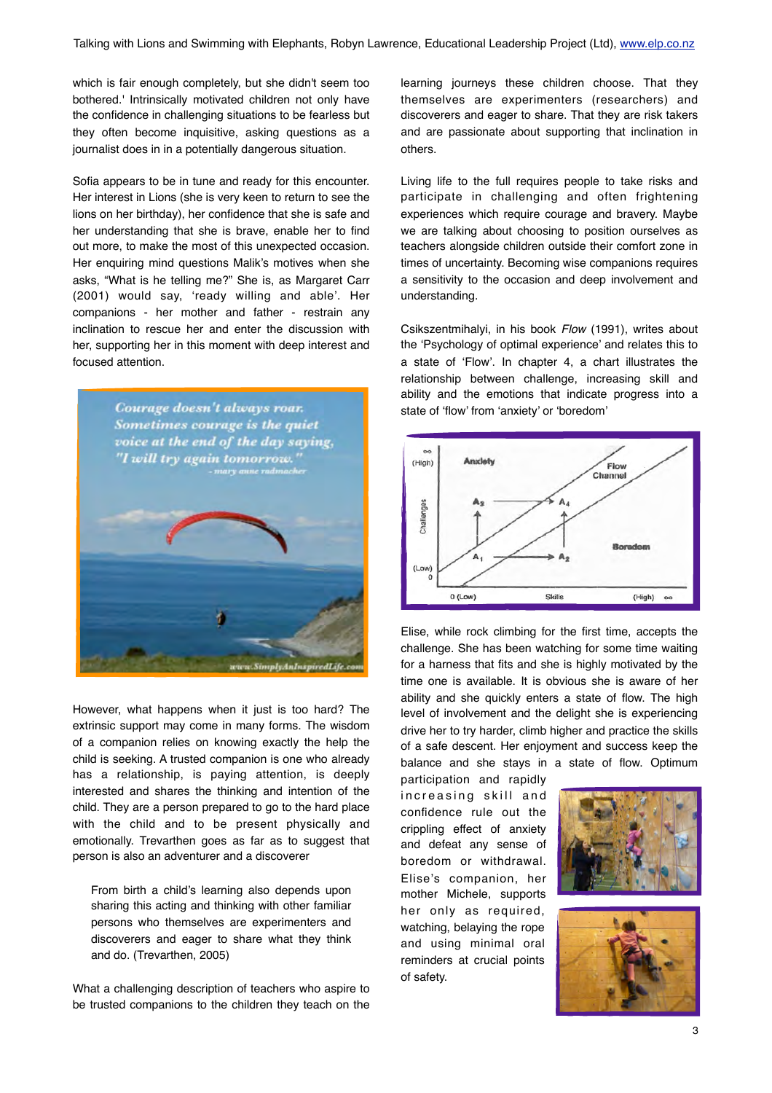which is fair enough completely, but she didn't seem too bothered.' Intrinsically motivated children not only have the confidence in challenging situations to be fearless but they often become inquisitive, asking questions as a journalist does in in a potentially dangerous situation.

Sofia appears to be in tune and ready for this encounter. Her interest in Lions (she is very keen to return to see the lions on her birthday), her confidence that she is safe and her understanding that she is brave, enable her to find out more, to make the most of this unexpected occasion. Her enquiring mind questions Malik's motives when she asks, "What is he telling me?" She is, as Margaret Carr (2001) would say, 'ready willing and able'. Her companions - her mother and father - restrain any inclination to rescue her and enter the discussion with her, supporting her in this moment with deep interest and focused attention.



However, what happens when it just is too hard? The extrinsic support may come in many forms. The wisdom of a companion relies on knowing exactly the help the child is seeking. A trusted companion is one who already has a relationship, is paying attention, is deeply interested and shares the thinking and intention of the child. They are a person prepared to go to the hard place with the child and to be present physically and emotionally. Trevarthen goes as far as to suggest that person is also an adventurer and a discoverer

From birth a child's learning also depends upon sharing this acting and thinking with other familiar persons who themselves are experimenters and discoverers and eager to share what they think and do. (Trevarthen, 2005)

What a challenging description of teachers who aspire to be trusted companions to the children they teach on the

learning journeys these children choose. That they themselves are experimenters (researchers) and discoverers and eager to share. That they are risk takers and are passionate about supporting that inclination in others.

Living life to the full requires people to take risks and participate in challenging and often frightening experiences which require courage and bravery. Maybe we are talking about choosing to position ourselves as teachers alongside children outside their comfort zone in times of uncertainty. Becoming wise companions requires a sensitivity to the occasion and deep involvement and understanding.

Csikszentmihalyi, in his book *Flow* (1991), writes about the 'Psychology of optimal experience' and relates this to a state of 'Flow'. In chapter 4, a chart illustrates the relationship between challenge, increasing skill and ability and the emotions that indicate progress into a state of 'flow' from 'anxiety' or 'boredom'



Elise, while rock climbing for the first time, accepts the challenge. She has been watching for some time waiting for a harness that fits and she is highly motivated by the time one is available. It is obvious she is aware of her ability and she quickly enters a state of flow. The high level of involvement and the delight she is experiencing drive her to try harder, climb higher and practice the skills of a safe descent. Her enjoyment and success keep the balance and she stays in a state of flow. Optimum

participation and rapidly increasing skill and confidence rule out the crippling effect of anxiety and defeat any sense of boredom or withdrawal. Elise's companion, her mother Michele, supports her only as required, watching, belaying the rope and using minimal oral reminders at crucial points of safety.